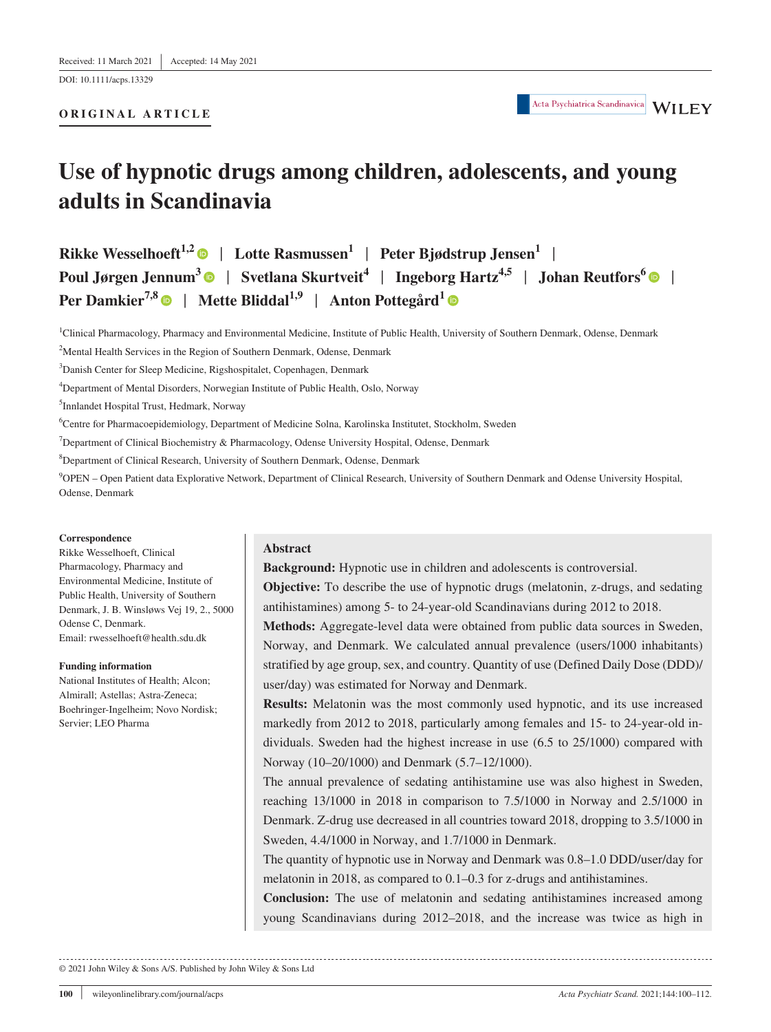DOI: 10.1111/acps.13329

# **ORIGINAL ARTICLE**

# **Use of hypnotic drugs among children, adolescents, and young adults in Scandinavia**

**Rikke Wesselhoeft**<sup>1,[2](https://orcid.org/0000-0001-9700-2739)</sup>  $\bullet$  | Lotte Rasmussen<sup>1</sup> | Peter Bjødstrup Jensen<sup>1</sup> | **Poul Jørgen Jennum<sup>[3](https://orcid.org/0000-0001-6986-5254)</sup> | Svetlana Skurtveit<sup>4</sup> | Ingeborg Hartz<sup>4,5</sup> | Johan Reutfors<sup>6</sup> | <b>| Per Damkier<sup>7,[8](https://orcid.org/0000-0003-0591-7187)</sup> | Mette Bliddal<sup>1,9</sup> | Anton Pottegård<sup>1</sup> | ©** 

<sup>1</sup>Clinical Pharmacology, Pharmacy and Environmental Medicine, Institute of Public Health, University of Southern Denmark, Odense, Denmark

<sup>2</sup>Mental Health Services in the Region of Southern Denmark, Odense, Denmark

3 Danish Center for Sleep Medicine, Rigshospitalet, Copenhagen, Denmark

4 Department of Mental Disorders, Norwegian Institute of Public Health, Oslo, Norway

5 Innlandet Hospital Trust, Hedmark, Norway

6 Centre for Pharmacoepidemiology, Department of Medicine Solna, Karolinska Institutet, Stockholm, Sweden

<sup>7</sup>Department of Clinical Biochemistry & Pharmacology, Odense University Hospital, Odense, Denmark

8 Department of Clinical Research, University of Southern Denmark, Odense, Denmark

9 OPEN – Open Patient data Explorative Network, Department of Clinical Research, University of Southern Denmark and Odense University Hospital, Odense, Denmark

#### **Correspondence**

Rikke Wesselhoeft, Clinical Pharmacology, Pharmacy and Environmental Medicine, Institute of Public Health, University of Southern Denmark, J. B. Winsløws Vej 19, 2., 5000 Odense C, Denmark. Email: [rwesselhoeft@health.sdu.dk](mailto:rwesselhoeft@health.sdu.dk)

#### **Funding information**

National Institutes of Health; Alcon; Almirall; Astellas; Astra-Zeneca; Boehringer-Ingelheim; Novo Nordisk; Servier; LEO Pharma

# **Abstract**

**Background:** Hypnotic use in children and adolescents is controversial.

**Objective:** To describe the use of hypnotic drugs (melatonin, z-drugs, and sedating antihistamines) among 5- to 24-year-old Scandinavians during 2012 to 2018.

**Methods:** Aggregate-level data were obtained from public data sources in Sweden, Norway, and Denmark. We calculated annual prevalence (users/1000 inhabitants) stratified by age group, sex, and country. Quantity of use (Defined Daily Dose (DDD)/ user/day) was estimated for Norway and Denmark.

**Results:** Melatonin was the most commonly used hypnotic, and its use increased markedly from 2012 to 2018, particularly among females and 15- to 24-year-old individuals. Sweden had the highest increase in use (6.5 to 25/1000) compared with Norway (10–20/1000) and Denmark (5.7–12/1000).

The annual prevalence of sedating antihistamine use was also highest in Sweden, reaching 13/1000 in 2018 in comparison to 7.5/1000 in Norway and 2.5/1000 in Denmark. Z-drug use decreased in all countries toward 2018, dropping to 3.5/1000 in Sweden, 4.4/1000 in Norway, and 1.7/1000 in Denmark.

The quantity of hypnotic use in Norway and Denmark was 0.8–1.0 DDD/user/day for melatonin in 2018, as compared to 0.1–0.3 for z-drugs and antihistamines.

**Conclusion:** The use of melatonin and sedating antihistamines increased among young Scandinavians during 2012–2018, and the increase was twice as high in

© 2021 John Wiley & Sons A/S. Published by John Wiley & Sons Ltd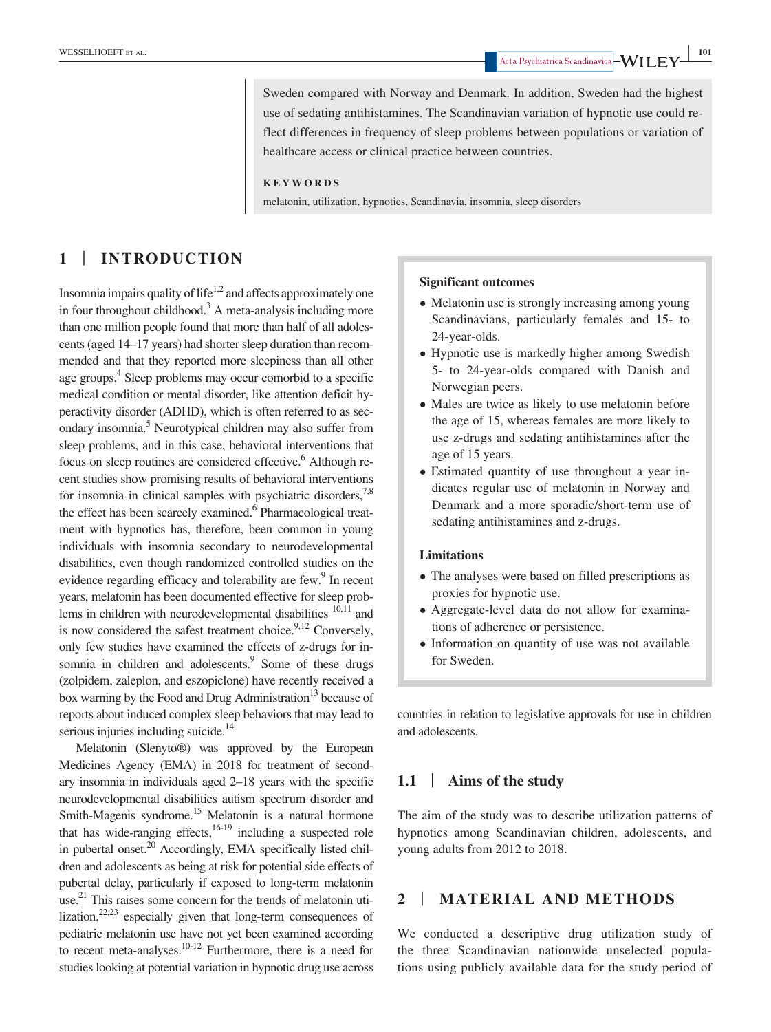Sweden compared with Norway and Denmark. In addition, Sweden had the highest

use of sedating antihistamines. The Scandinavian variation of hypnotic use could reflect differences in frequency of sleep problems between populations or variation of healthcare access or clinical practice between countries.

### **KEYWORDS**

melatonin, utilization, hypnotics, Scandinavia, insomnia, sleep disorders

# **1** | **INTRODUCTION**

Insomnia impairs quality of life<sup>1,2</sup> and affects approximately one in four throughout childhood.<sup>3</sup> A meta-analysis including more than one million people found that more than half of all adolescents (aged 14–17 years) had shorter sleep duration than recommended and that they reported more sleepiness than all other age groups.<sup>4</sup> Sleep problems may occur comorbid to a specific medical condition or mental disorder, like attention deficit hyperactivity disorder (ADHD), which is often referred to as secondary insomnia.<sup>5</sup> Neurotypical children may also suffer from sleep problems, and in this case, behavioral interventions that focus on sleep routines are considered effective.<sup>6</sup> Although recent studies show promising results of behavioral interventions for insomnia in clinical samples with psychiatric disorders,  $7.8$ the effect has been scarcely examined.<sup>6</sup> Pharmacological treatment with hypnotics has, therefore, been common in young individuals with insomnia secondary to neurodevelopmental disabilities, even though randomized controlled studies on the evidence regarding efficacy and tolerability are few.<sup>9</sup> In recent years, melatonin has been documented effective for sleep problems in children with neurodevelopmental disabilities  $10,11$  and is now considered the safest treatment choice. $9,12$  Conversely, only few studies have examined the effects of z-drugs for insomnia in children and adolescents.<sup>9</sup> Some of these drugs (zolpidem, zaleplon, and eszopiclone) have recently received a box warning by the Food and Drug Administration<sup>13</sup> because of reports about induced complex sleep behaviors that may lead to serious injuries including suicide.<sup>14</sup>

Melatonin (Slenyto®) was approved by the European Medicines Agency (EMA) in 2018 for treatment of secondary insomnia in individuals aged 2–18 years with the specific neurodevelopmental disabilities autism spectrum disorder and Smith-Magenis syndrome.<sup>15</sup> Melatonin is a natural hormone that has wide-ranging effects, $16-19$  including a suspected role in pubertal onset.20 Accordingly, EMA specifically listed children and adolescents as being at risk for potential side effects of pubertal delay, particularly if exposed to long-term melatonin use.<sup>21</sup> This raises some concern for the trends of melatonin utilization, $22,23$  especially given that long-term consequences of pediatric melatonin use have not yet been examined according to recent meta-analyses.<sup>10-12</sup> Furthermore, there is a need for studies looking at potential variation in hypnotic drug use across

### **Significant outcomes**

- Melatonin use is strongly increasing among young Scandinavians, particularly females and 15- to 24-year-olds.
- Hypnotic use is markedly higher among Swedish 5- to 24-year-olds compared with Danish and Norwegian peers.
- Males are twice as likely to use melatonin before the age of 15, whereas females are more likely to use z-drugs and sedating antihistamines after the age of 15 years.
- Estimated quantity of use throughout a year indicates regular use of melatonin in Norway and Denmark and a more sporadic/short-term use of sedating antihistamines and z-drugs.

## **Limitations**

- The analyses were based on filled prescriptions as proxies for hypnotic use.
- Aggregate-level data do not allow for examinations of adherence or persistence.
- Information on quantity of use was not available for Sweden.

countries in relation to legislative approvals for use in children and adolescents.

# **1.1** | **Aims of the study**

The aim of the study was to describe utilization patterns of hypnotics among Scandinavian children, adolescents, and young adults from 2012 to 2018.

# **2** | **MATERIAL AND METHODS**

We conducted a descriptive drug utilization study of the three Scandinavian nationwide unselected populations using publicly available data for the study period of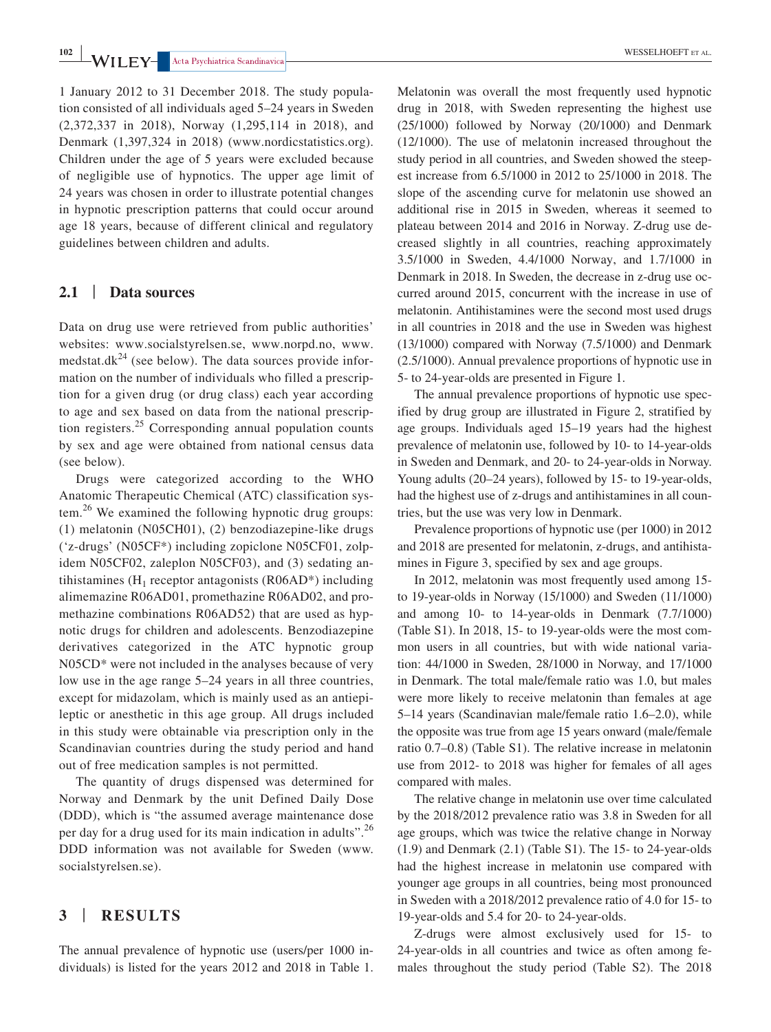**1020 I I I FY- A**cta Psychiatrica Scandinavica **|** 

1 January 2012 to 31 December 2018. The study population consisted of all individuals aged 5–24 years in Sweden (2,372,337 in 2018), Norway (1,295,114 in 2018), and Denmark (1,397,324 in 2018) ([www.nordicstatistics.org](http://www.nordicstatistics.org)). Children under the age of 5 years were excluded because of negligible use of hypnotics. The upper age limit of 24 years was chosen in order to illustrate potential changes in hypnotic prescription patterns that could occur around age 18 years, because of different clinical and regulatory guidelines between children and adults.

# **2.1** | **Data sources**

Data on drug use were retrieved from public authorities' websites: [www.socialstyrelsen.se](http://www.socialstyrelsen.se), [www.norpd.no,](http://www.norpd.no) [www.](http://www.medstat.dk) [medstat.dk](http://www.medstat.dk)<sup>24</sup> (see below). The data sources provide information on the number of individuals who filled a prescription for a given drug (or drug class) each year according to age and sex based on data from the national prescription registers. $25$  Corresponding annual population counts by sex and age were obtained from national census data (see below).

Drugs were categorized according to the WHO Anatomic Therapeutic Chemical (ATC) classification system.<sup>26</sup> We examined the following hypnotic drug groups: (1) melatonin (N05CH01), (2) benzodiazepine-like drugs ('z-drugs' (N05CF\*) including zopiclone N05CF01, zolpidem N05CF02, zaleplon N05CF03), and (3) sedating antihistamines ( $H_1$  receptor antagonists (R06AD\*) including alimemazine R06AD01, promethazine R06AD02, and promethazine combinations R06AD52) that are used as hypnotic drugs for children and adolescents. Benzodiazepine derivatives categorized in the ATC hypnotic group N05CD\* were not included in the analyses because of very low use in the age range 5–24 years in all three countries, except for midazolam, which is mainly used as an antiepileptic or anesthetic in this age group. All drugs included in this study were obtainable via prescription only in the Scandinavian countries during the study period and hand out of free medication samples is not permitted.

The quantity of drugs dispensed was determined for Norway and Denmark by the unit Defined Daily Dose (DDD), which is "the assumed average maintenance dose per day for a drug used for its main indication in adults".<sup>26</sup> DDD information was not available for Sweden [\(www.](http://www.socialstyrelsen.se) [socialstyrelsen.se\)](http://www.socialstyrelsen.se).

# **3** | **RESULTS**

The annual prevalence of hypnotic use (users/per 1000 individuals) is listed for the years 2012 and 2018 in Table 1. Melatonin was overall the most frequently used hypnotic drug in 2018, with Sweden representing the highest use (25/1000) followed by Norway (20/1000) and Denmark (12/1000). The use of melatonin increased throughout the study period in all countries, and Sweden showed the steepest increase from 6.5/1000 in 2012 to 25/1000 in 2018. The slope of the ascending curve for melatonin use showed an additional rise in 2015 in Sweden, whereas it seemed to plateau between 2014 and 2016 in Norway. Z-drug use decreased slightly in all countries, reaching approximately 3.5/1000 in Sweden, 4.4/1000 Norway, and 1.7/1000 in Denmark in 2018. In Sweden, the decrease in z-drug use occurred around 2015, concurrent with the increase in use of melatonin. Antihistamines were the second most used drugs in all countries in 2018 and the use in Sweden was highest (13/1000) compared with Norway (7.5/1000) and Denmark (2.5/1000). Annual prevalence proportions of hypnotic use in 5- to 24-year-olds are presented in Figure 1.

The annual prevalence proportions of hypnotic use specified by drug group are illustrated in Figure 2, stratified by age groups. Individuals aged 15–19 years had the highest prevalence of melatonin use, followed by 10- to 14-year-olds in Sweden and Denmark, and 20- to 24-year-olds in Norway. Young adults (20–24 years), followed by 15- to 19-year-olds, had the highest use of z-drugs and antihistamines in all countries, but the use was very low in Denmark.

Prevalence proportions of hypnotic use (per 1000) in 2012 and 2018 are presented for melatonin, z-drugs, and antihistamines in Figure 3, specified by sex and age groups.

In 2012, melatonin was most frequently used among 15 to 19-year-olds in Norway (15/1000) and Sweden (11/1000) and among 10- to 14-year-olds in Denmark (7.7/1000) (Table S1). In 2018, 15- to 19-year-olds were the most common users in all countries, but with wide national variation: 44/1000 in Sweden, 28/1000 in Norway, and 17/1000 in Denmark. The total male/female ratio was 1.0, but males were more likely to receive melatonin than females at age 5–14 years (Scandinavian male/female ratio 1.6–2.0), while the opposite was true from age 15 years onward (male/female ratio 0.7–0.8) (Table S1). The relative increase in melatonin use from 2012- to 2018 was higher for females of all ages compared with males.

The relative change in melatonin use over time calculated by the 2018/2012 prevalence ratio was 3.8 in Sweden for all age groups, which was twice the relative change in Norway (1.9) and Denmark (2.1) (Table S1). The 15- to 24-year-olds had the highest increase in melatonin use compared with younger age groups in all countries, being most pronounced in Sweden with a 2018/2012 prevalence ratio of 4.0 for 15- to 19-year-olds and 5.4 for 20- to 24-year-olds.

Z-drugs were almost exclusively used for 15- to 24-year-olds in all countries and twice as often among females throughout the study period (Table S2). The 2018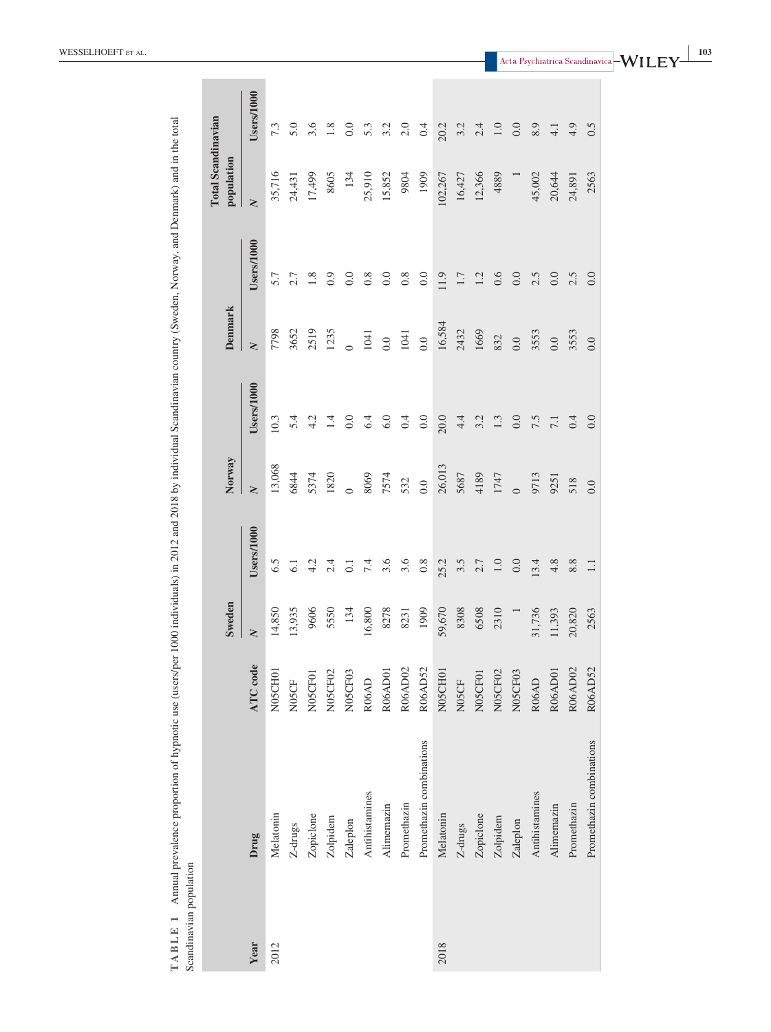| Scandinavian population | TABLE 1 Annual prevalence proportion of hypnotic use (users/per 1000 individuals) in 2012 and 2018 by individual Scandinavian country (Sweden, Norway, and Denmark) and in the total |                    |               |            |                         |            |                |            |                                         |              |
|-------------------------|--------------------------------------------------------------------------------------------------------------------------------------------------------------------------------------|--------------------|---------------|------------|-------------------------|------------|----------------|------------|-----------------------------------------|--------------|
|                         |                                                                                                                                                                                      |                    | <b>Sweden</b> |            | Norway                  |            | <b>Denmark</b> |            | <b>Total Scandinavian</b><br>population |              |
| Year                    | Drug                                                                                                                                                                                 | ATC code           | $\geq$        | Users/1000 | $\overline{\mathsf{X}}$ | Users/1000 | $\geq$         | Users/1000 | $\geq$                                  | Users/1000   |
| 2012                    | Melatonin                                                                                                                                                                            | N05CH01            | 14,850        | 6.5        | 13,068                  | 10.3       | 7798           | 5.7        | 35,716                                  | 7.3          |
|                         | Z-drugs                                                                                                                                                                              | N <sub>05</sub> CF | 13,935        | 61         | 6844                    | 5.4        | 3652           | 2.7        | 24,431                                  | 5.0          |
|                         | Zopiclone                                                                                                                                                                            | N05CF01            | 9606          | 4.2        | 5374                    | 4.2        | 2519           | $1.8\,$    | 17,499                                  | 3.6          |
|                         | Zolpidem                                                                                                                                                                             | N05CF02            | 5550          | 2.4        | 1820                    | $\ddot{1}$ | 1235           | 0.9        | 8605                                    | 1.8          |
|                         | Zaleplon                                                                                                                                                                             | N05CF03            | 134           | $\Xi$      |                         | 0.0        |                | 0.0        | 134                                     | 0.0          |
|                         | Antihistamines                                                                                                                                                                       | R <sub>06</sub> AD | 16,800        | $7.4$      | 8069                    | 6.4        | 1041           | 0.8        | 25,910                                  | 5.3          |
|                         | Alimemazin                                                                                                                                                                           | R06AD01            | 8278          | 3.6        | 7574                    | 6.0        | 0.0            | 0.0        | 15,852                                  | 3.2          |
|                         | Promethazin                                                                                                                                                                          | R06AD02            | 8231          | 3.6        | 532                     | 0.4        | $1041$         | $0.8\,$    | 9804                                    | $2.0\,$      |
|                         | Promethazin combinations                                                                                                                                                             | R06AD52            | 1909          | $0.8\,$    | 0.0                     | 0.0        | 0.0            | 0.0        | 1909                                    | 0.4          |
| 2018                    | Melatonin                                                                                                                                                                            | N05CH01            | 59,670        | 25.2       | 26,013                  | 20.0       | 16,584         | 11.9       | 102,267                                 | 20.2         |
|                         | Z-drugs                                                                                                                                                                              | N05CF              | 8308          | 3.5        | 5687                    | 4.4        | 2432           | $1.7\,$    | 16,427                                  | 3.2          |
|                         | Zopiclone                                                                                                                                                                            | N05CF01            | 6508          | $2.7\,$    | 4189                    | 3.2        | 1669           | 1.2        | 12,366                                  |              |
|                         | Zolpidem                                                                                                                                                                             | N05CF02            | 2310          | 1.0        | 1747                    | $1.3\,$    | 832            | $0.6\,$    | 4889                                    | $2.4$<br>1.0 |
|                         | Zaleplon                                                                                                                                                                             | N05CF03            |               | 0.0        | $\overline{0}$          | $0.0\,$    | 0.0            | 0.0        |                                         | $0.0\,$      |
|                         | Antihistamines                                                                                                                                                                       | R06AD              | 31,736        | 13.4       | 9713                    | 7.5        | 3553           | 2.5        | 45,002                                  | 8.9          |
|                         | Alimemazin                                                                                                                                                                           | R06AD01            | 11,393        | $4.8$      | 9251                    | 7.1        | 0.0            | $0.0\,$    | 20,644                                  | $4.1\,$      |
|                         | Promethazin                                                                                                                                                                          | R06AD02            | 20,820        | $8.8\,$    | 518                     | 0.4        | 3553           | 2.5        | 24,891                                  | 4.9          |
|                         | Promethazin combinations                                                                                                                                                             | R06AD52            | 2563          | $1.1\,$    | 0.0                     | 0.0        | 0.0            | 0.0        | 2563                                    | 0.5          |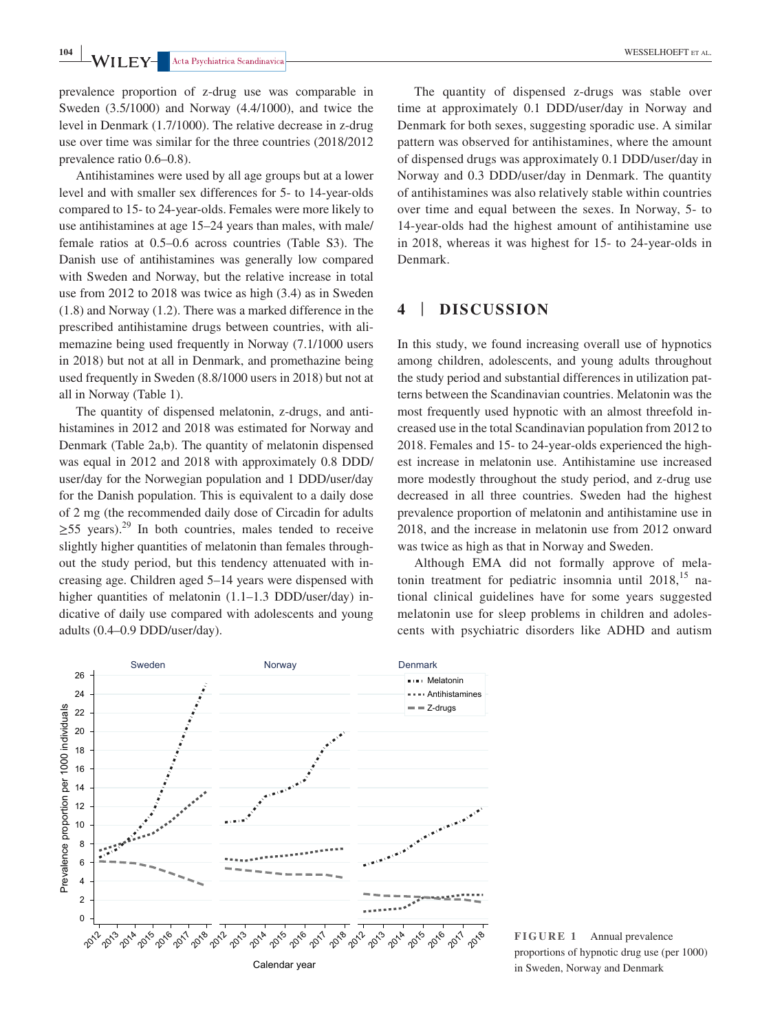prevalence proportion of z-drug use was comparable in Sweden (3.5/1000) and Norway (4.4/1000), and twice the level in Denmark (1.7/1000). The relative decrease in z-drug use over time was similar for the three countries (2018/2012 prevalence ratio 0.6–0.8).

Antihistamines were used by all age groups but at a lower level and with smaller sex differences for 5- to 14-year-olds compared to 15- to 24-year-olds. Females were more likely to use antihistamines at age 15–24 years than males, with male/ female ratios at 0.5–0.6 across countries (Table S3). The Danish use of antihistamines was generally low compared with Sweden and Norway, but the relative increase in total use from 2012 to 2018 was twice as high (3.4) as in Sweden (1.8) and Norway (1.2). There was a marked difference in the prescribed antihistamine drugs between countries, with alimemazine being used frequently in Norway (7.1/1000 users in 2018) but not at all in Denmark, and promethazine being used frequently in Sweden (8.8/1000 users in 2018) but not at all in Norway (Table 1).

The quantity of dispensed melatonin, z-drugs, and antihistamines in 2012 and 2018 was estimated for Norway and Denmark (Table 2a,b). The quantity of melatonin dispensed was equal in 2012 and 2018 with approximately 0.8 DDD/ user/day for the Norwegian population and 1 DDD/user/day for the Danish population. This is equivalent to a daily dose of 2 mg (the recommended daily dose of Circadin for adults  $>$ 55 years).<sup>29</sup> In both countries, males tended to receive slightly higher quantities of melatonin than females throughout the study period, but this tendency attenuated with increasing age. Children aged 5–14 years were dispensed with higher quantities of melatonin (1.1–1.3 DDD/user/day) indicative of daily use compared with adolescents and young adults (0.4–0.9 DDD/user/day).

The quantity of dispensed z-drugs was stable over time at approximately 0.1 DDD/user/day in Norway and Denmark for both sexes, suggesting sporadic use. A similar pattern was observed for antihistamines, where the amount of dispensed drugs was approximately 0.1 DDD/user/day in Norway and 0.3 DDD/user/day in Denmark. The quantity of antihistamines was also relatively stable within countries over time and equal between the sexes. In Norway, 5- to 14-year-olds had the highest amount of antihistamine use in 2018, whereas it was highest for 15- to 24-year-olds in Denmark.

# **4** | **DISCUSSION**

In this study, we found increasing overall use of hypnotics among children, adolescents, and young adults throughout the study period and substantial differences in utilization patterns between the Scandinavian countries. Melatonin was the most frequently used hypnotic with an almost threefold increased use in the total Scandinavian population from 2012 to 2018. Females and 15- to 24-year-olds experienced the highest increase in melatonin use. Antihistamine use increased more modestly throughout the study period, and z-drug use decreased in all three countries. Sweden had the highest prevalence proportion of melatonin and antihistamine use in 2018, and the increase in melatonin use from 2012 onward was twice as high as that in Norway and Sweden.

Although EMA did not formally approve of melatonin treatment for pediatric insomnia until  $2018$ ,<sup>15</sup> national clinical guidelines have for some years suggested melatonin use for sleep problems in children and adolescents with psychiatric disorders like ADHD and autism



**FIGURE 1** Annual prevalence proportions of hypnotic drug use (per 1000) in Sweden, Norway and Denmark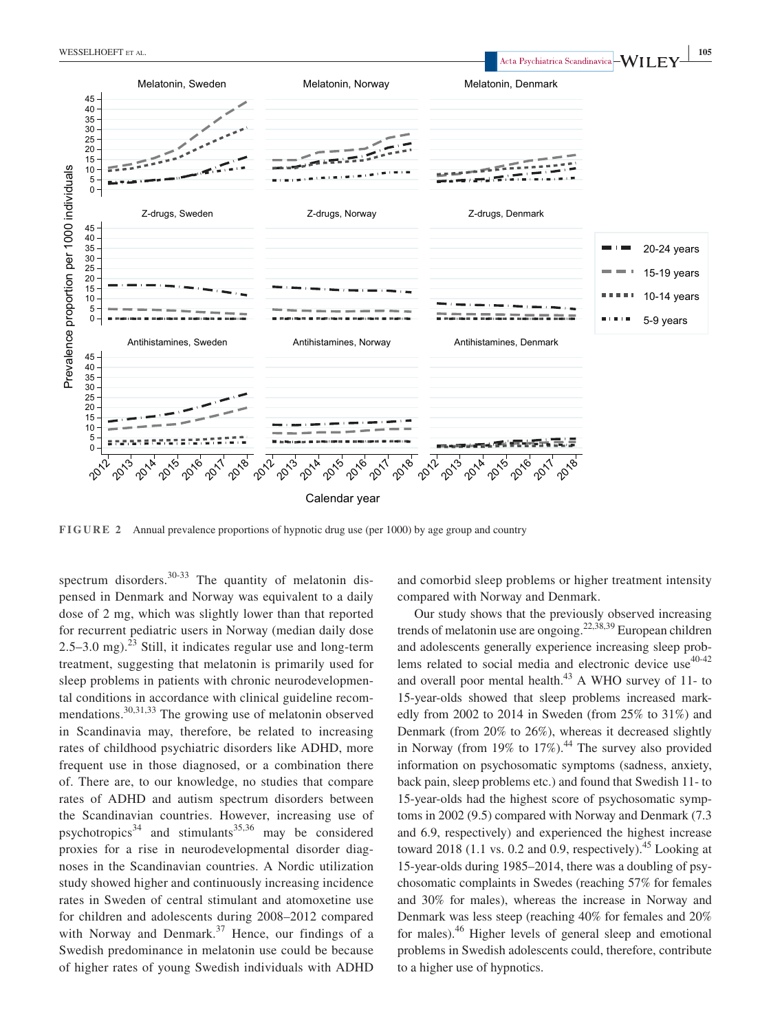

**FIGURE 2** Annual prevalence proportions of hypnotic drug use (per  $1000$ ) by age group and country

spectrum disorders.<sup>30-33</sup> The quantity of melatonin dispensed in Denmark and Norway was equivalent to a daily dose of 2 mg, which was slightly lower than that reported for recurrent pediatric users in Norway (median daily dose  $2.5-3.0$  mg).<sup>23</sup> Still, it indicates regular use and long-term treatment, suggesting that melatonin is primarily used for sleep problems in patients with chronic neurodevelopmental conditions in accordance with clinical guideline recommendations.30,31,33 The growing use of melatonin observed in Scandinavia may, therefore, be related to increasing rates of childhood psychiatric disorders like ADHD, more frequent use in those diagnosed, or a combination there of. There are, to our knowledge, no studies that compare rates of ADHD and autism spectrum disorders between the Scandinavian countries. However, increasing use of psychotropics<sup>34</sup> and stimulants<sup>35,36</sup> may be considered proxies for a rise in neurodevelopmental disorder diagnoses in the Scandinavian countries. A Nordic utilization study showed higher and continuously increasing incidence rates in Sweden of central stimulant and atomoxetine use for children and adolescents during 2008–2012 compared with Norway and Denmark.<sup>37</sup> Hence, our findings of a Swedish predominance in melatonin use could be because of higher rates of young Swedish individuals with ADHD

and comorbid sleep problems or higher treatment intensity compared with Norway and Denmark.

Our study shows that the previously observed increasing trends of melatonin use are ongoing.<sup>22,38,39</sup> European children and adolescents generally experience increasing sleep problems related to social media and electronic device use  $40-42$ and overall poor mental health. $43$  A WHO survey of 11- to 15-year-olds showed that sleep problems increased markedly from 2002 to 2014 in Sweden (from 25% to 31%) and Denmark (from 20% to 26%), whereas it decreased slightly in Norway (from 19% to  $17\%$ ).<sup>44</sup> The survey also provided information on psychosomatic symptoms (sadness, anxiety, back pain, sleep problems etc.) and found that Swedish 11- to 15-year-olds had the highest score of psychosomatic symptoms in 2002 (9.5) compared with Norway and Denmark (7.3 and 6.9, respectively) and experienced the highest increase toward 2018 (1.1 vs. 0.2 and 0.9, respectively).<sup>45</sup> Looking at 15-year-olds during 1985–2014, there was a doubling of psychosomatic complaints in Swedes (reaching 57% for females and 30% for males), whereas the increase in Norway and Denmark was less steep (reaching 40% for females and 20% for males).46 Higher levels of general sleep and emotional problems in Swedish adolescents could, therefore, contribute to a higher use of hypnotics.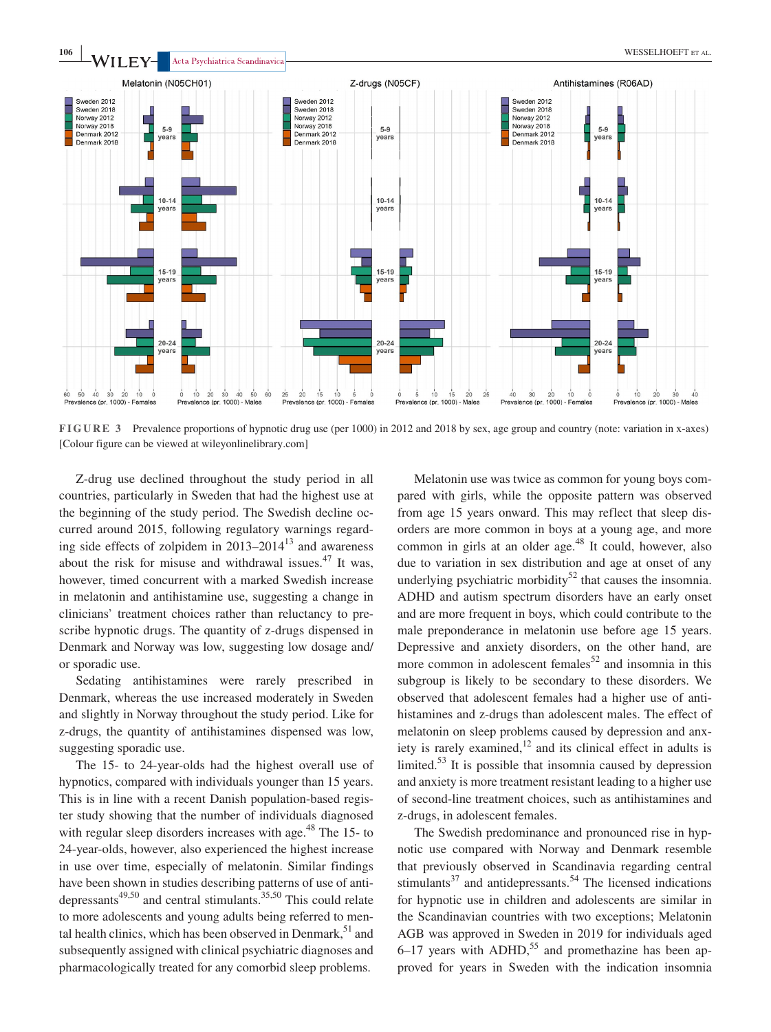

**FIGURE 3** Prevalence proportions of hypnotic drug use (per 1000) in 2012 and 2018 by sex, age group and country (note: variation in x-axes) [Colour figure can be viewed at [wileyonlinelibrary.com](www.wileyonlinelibrary.com)]

Z-drug use declined throughout the study period in all countries, particularly in Sweden that had the highest use at the beginning of the study period. The Swedish decline occurred around 2015, following regulatory warnings regarding side effects of zolpidem in  $2013-2014^{13}$  and awareness about the risk for misuse and withdrawal issues. $47$  It was, however, timed concurrent with a marked Swedish increase in melatonin and antihistamine use, suggesting a change in clinicians' treatment choices rather than reluctancy to prescribe hypnotic drugs. The quantity of z-drugs dispensed in Denmark and Norway was low, suggesting low dosage and/ or sporadic use.

Sedating antihistamines were rarely prescribed in Denmark, whereas the use increased moderately in Sweden and slightly in Norway throughout the study period. Like for z-drugs, the quantity of antihistamines dispensed was low, suggesting sporadic use.

The 15- to 24-year-olds had the highest overall use of hypnotics, compared with individuals younger than 15 years. This is in line with a recent Danish population-based register study showing that the number of individuals diagnosed with regular sleep disorders increases with age.<sup>48</sup> The 15- to 24-year-olds, however, also experienced the highest increase in use over time, especially of melatonin. Similar findings have been shown in studies describing patterns of use of antidepressants<sup>49,50</sup> and central stimulants.<sup>35,50</sup> This could relate to more adolescents and young adults being referred to mental health clinics, which has been observed in Denmark,  $51$  and subsequently assigned with clinical psychiatric diagnoses and pharmacologically treated for any comorbid sleep problems.

Melatonin use was twice as common for young boys compared with girls, while the opposite pattern was observed from age 15 years onward. This may reflect that sleep disorders are more common in boys at a young age, and more common in girls at an older age. $48$  It could, however, also due to variation in sex distribution and age at onset of any underlying psychiatric morbidity<sup>52</sup> that causes the insomnia. ADHD and autism spectrum disorders have an early onset and are more frequent in boys, which could contribute to the male preponderance in melatonin use before age 15 years. Depressive and anxiety disorders, on the other hand, are more common in adolescent females<sup>52</sup> and insomnia in this subgroup is likely to be secondary to these disorders. We observed that adolescent females had a higher use of antihistamines and z-drugs than adolescent males. The effect of melatonin on sleep problems caused by depression and anxiety is rarely examined, $12$  and its clinical effect in adults is limited. $53$  It is possible that insomnia caused by depression and anxiety is more treatment resistant leading to a higher use of second-line treatment choices, such as antihistamines and z-drugs, in adolescent females.

The Swedish predominance and pronounced rise in hypnotic use compared with Norway and Denmark resemble that previously observed in Scandinavia regarding central stimulants $37$  and antidepressants.<sup>54</sup> The licensed indications for hypnotic use in children and adolescents are similar in the Scandinavian countries with two exceptions; Melatonin AGB was approved in Sweden in 2019 for individuals aged  $6-17$  years with ADHD,<sup>55</sup> and promethazine has been approved for years in Sweden with the indication insomnia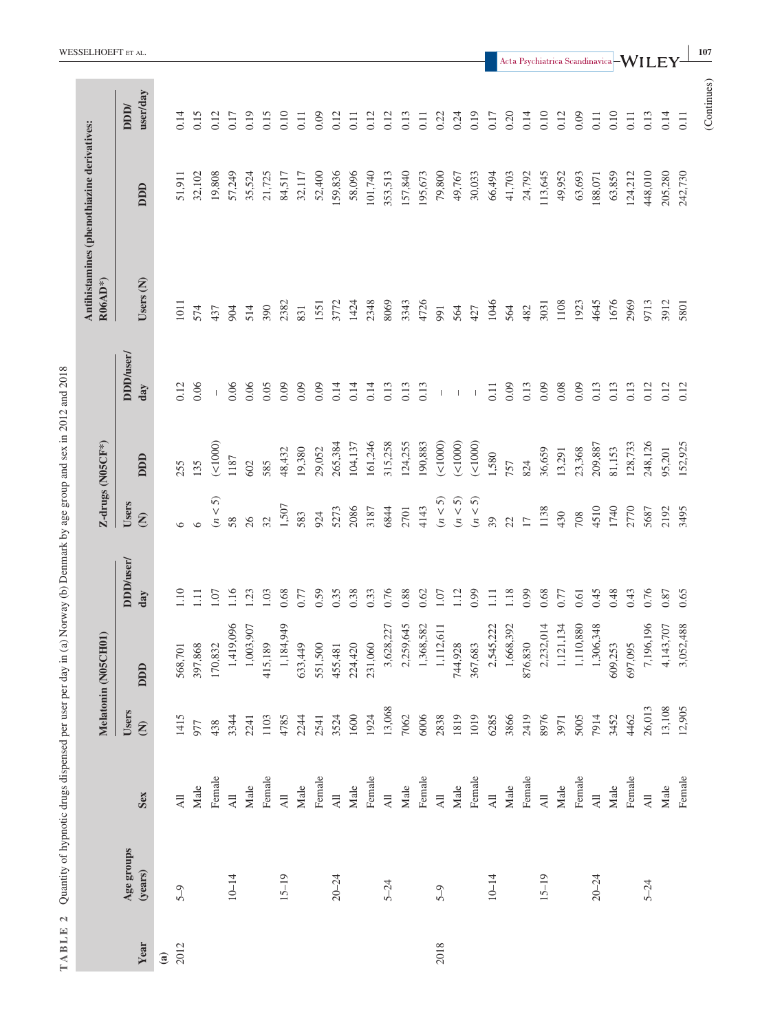| TABLE 2       |                       | Quantity of hypnotic drugs dispensed per user per day in (a) Norway (b) Denmark by age group and sex in 2012 and 2018 |                               |                     |                  |                                 |                  |                          |                                                         |         |                        |                                                        |
|---------------|-----------------------|-----------------------------------------------------------------------------------------------------------------------|-------------------------------|---------------------|------------------|---------------------------------|------------------|--------------------------|---------------------------------------------------------|---------|------------------------|--------------------------------------------------------|
|               |                       |                                                                                                                       |                               | Melatonin (N05CH01) |                  |                                 | Z-drugs (N05CF*) |                          | Antihistamines (phenothiazine derivatives:<br>$R06AD^*$ |         |                        | WESSELHOEFT et al.                                     |
| Year          | Age groups<br>(years) | Sex                                                                                                                   | Users<br>$\widehat{\epsilon}$ | DDD                 | DDD/user/<br>day | Users<br>$\widehat{\mathbf{z}}$ | DDD              | DDD/user/<br>day         | Users (N)                                               | DDD     | user/day<br><b>NDD</b> |                                                        |
| $\widehat{a}$ |                       |                                                                                                                       |                               |                     |                  |                                 |                  |                          |                                                         |         |                        |                                                        |
| 2012          | $5 - 9$               | $\overline{AB}$                                                                                                       | 1415                          | 568,701             | 1.10             | $\circ$                         | 255              | 0.12                     | 1011                                                    | 51,911  | 0.14                   |                                                        |
|               |                       | Male                                                                                                                  | 977                           | 397,868             | $\Xi$            | $\circ$                         | 135              | 0.06                     | 574                                                     | 32,102  | 0.15                   |                                                        |
|               |                       | Female                                                                                                                | 438                           | 170,832             | 1.07             | $(n < 5)$                       | (1000)           | $\mathbf{I}$             | 437                                                     | 19,808  | 0.12                   |                                                        |
|               | $10 - 14$             | $\overline{AB}$                                                                                                       | 3344                          | 1,419,096           | 1.16             | 58                              | 1187             | 0.06                     | 904                                                     | 57,249  | 0.17                   |                                                        |
|               |                       | $\rm {Male}$                                                                                                          | 2241                          | 1,003,907           | 1.23             | 26                              | 602              | 0.06                     | 514                                                     | 35,524  | 0.19                   |                                                        |
|               |                       | Female                                                                                                                | 1103                          | 415,189             | 1.03             | 32                              | 585              | 0.05                     | 390                                                     | 21,725  | 0.15                   |                                                        |
|               | $15 - 19$             | $\overline{AB}$                                                                                                       | 4785                          | 1,184,949           | 0.68             | 1,507                           | 48,432           | 0.09                     | 2382                                                    | 84,517  | 0.10                   |                                                        |
|               |                       | Male                                                                                                                  | 2244                          | 633,449             | 0.77             | 583                             | 19,380           | 0.09                     | 831                                                     | 32,117  | 0.11                   |                                                        |
|               |                       | Female                                                                                                                | 2541                          | 551,500             | 0.59             | 924                             | 29,052           | 0.09                     | 1551                                                    | 52,400  | 0.09                   |                                                        |
|               | $20 - 24$             | $\overline{AB}$                                                                                                       | 3524                          | 455,481             | 0.35             | 5273                            | 265,384          | 0.14                     | 3772                                                    | 159,836 | 0.12                   |                                                        |
|               |                       | Male                                                                                                                  | 1600                          | 224,420             | 0.38             | 2086                            | 104,137          | 0.14                     | 1424                                                    | 58,096  | 0.11                   |                                                        |
|               |                       | Female                                                                                                                | 1924                          | 231,060             | 0.33             | 3187                            | 161,246          | 0.14                     | 2348                                                    | 101,740 | 0.12                   |                                                        |
|               | $5 - 24$              | $\overline{AB}$                                                                                                       | 13,068                        | 3,628,227           | 0.76             | 6844                            | 315,258          | 0.13                     | 8069                                                    | 353,513 | 0.12                   |                                                        |
|               |                       | Male                                                                                                                  | 7062                          | 2,259,645           | 0.88             | 2701                            | 124,255          | 0.13                     | 3343                                                    | 157,840 | 0.13                   |                                                        |
|               |                       | Female                                                                                                                | 6006                          | 1,368,582           | 0.62             | 4143                            | 190,883          | 0.13                     | 4726                                                    | 195,673 | 0.11                   |                                                        |
| 2018          | $5 - 9$               | $\overline{AB}$                                                                                                       | 2838                          | 1,112,611           | 1.07             | $(n < 5)$                       | ( < 1000)        | $\mathbf{I}$             | 991                                                     | 79,800  | 0.22                   |                                                        |
|               |                       | Male                                                                                                                  | 1819                          | 744,928             | 1.12             | $(n < 5)$                       | $($ <1000 $)$    | 1                        | 564                                                     | 49,767  | 0.24                   |                                                        |
|               |                       | Female                                                                                                                | 1019                          | 367,683             | 0.99             | $(n < 5)$                       | (1000)           | $\overline{\phantom{a}}$ | 427                                                     | 30,033  | 0.19                   |                                                        |
|               | $10 - 14$             | $\overline{AB}$                                                                                                       | 6285                          | 2,545,222           | 1.11             | 39                              | 1,580            | 0.11                     | 1046                                                    | 66,494  | 0.17                   |                                                        |
|               |                       | Male                                                                                                                  | 3866                          | 1,668,392           | 1.18             | 22                              | 757              | 0.09                     | 564                                                     | 41,703  | 0.20                   |                                                        |
|               |                       | Female                                                                                                                | 2419                          | 876,830             | 0.99             | $\overline{17}$                 | 824              | 0.13                     | 482                                                     | 24,792  | 0.14                   |                                                        |
|               | $15 - 19$             | $\overline{AB}$                                                                                                       | 8976                          | 4<br>2,232,01       | 0.68             | 1138                            | 36,659           | 0.09                     | 3031                                                    | 113,645 | 0.10                   | Acta Psychiatrica Scandinavica $\mathsf{\vdash WILEY}$ |
|               |                       | $\rm {Male}$                                                                                                          | 3971                          | 1,121,134           | 0.77             | 430                             | 13,291           | 0.08                     | 1108                                                    | 49,952  | 0.12                   |                                                        |
|               |                       | Female                                                                                                                | 5005                          | 1,110,880           | 0.61             | 708                             | 23,368           | 0.09                     | 1923                                                    | 63,693  | 0.09                   |                                                        |
|               | $20 - 24$             | $\overline{AB}$                                                                                                       | 7914                          | 1,306,348           | 0.45             | 4510                            | 209,887          | 0.13                     | 4645                                                    | 188,071 | 0.11                   |                                                        |
|               |                       | $\rm {Male}$                                                                                                          | 3452                          | 609,253             | 0.48             | 1740                            | 81,153           | 0.13                     | 1676                                                    | 63,859  | 0.10                   |                                                        |
|               |                       | Female                                                                                                                | 4462                          | 697,095             | 0.43             | 2770                            | 128,733          | 0.13                     | 2969                                                    | 124,212 | 0.11                   |                                                        |
|               | $5 - 24$              | $\overline{AB}$                                                                                                       | 26,013                        | 7,196,196           | 0.76             | 5687                            | 248,126          | 0.12                     | 9713                                                    | 448,010 | 0.13                   |                                                        |
|               |                       | Male                                                                                                                  | 13,108                        | 4,143,707           | 0.87             | 2192                            | 95,201           | 0.12                     | 3912                                                    | 205,280 | 0.14                   |                                                        |
|               |                       | Female                                                                                                                | 12,905                        | 3,052,488           | 0.65             | 3495                            | 152,925          | 0.12                     | 5801                                                    | 242,730 | 0.11                   |                                                        |
|               |                       |                                                                                                                       |                               |                     |                  |                                 |                  |                          |                                                         |         | (Continues)            | 107                                                    |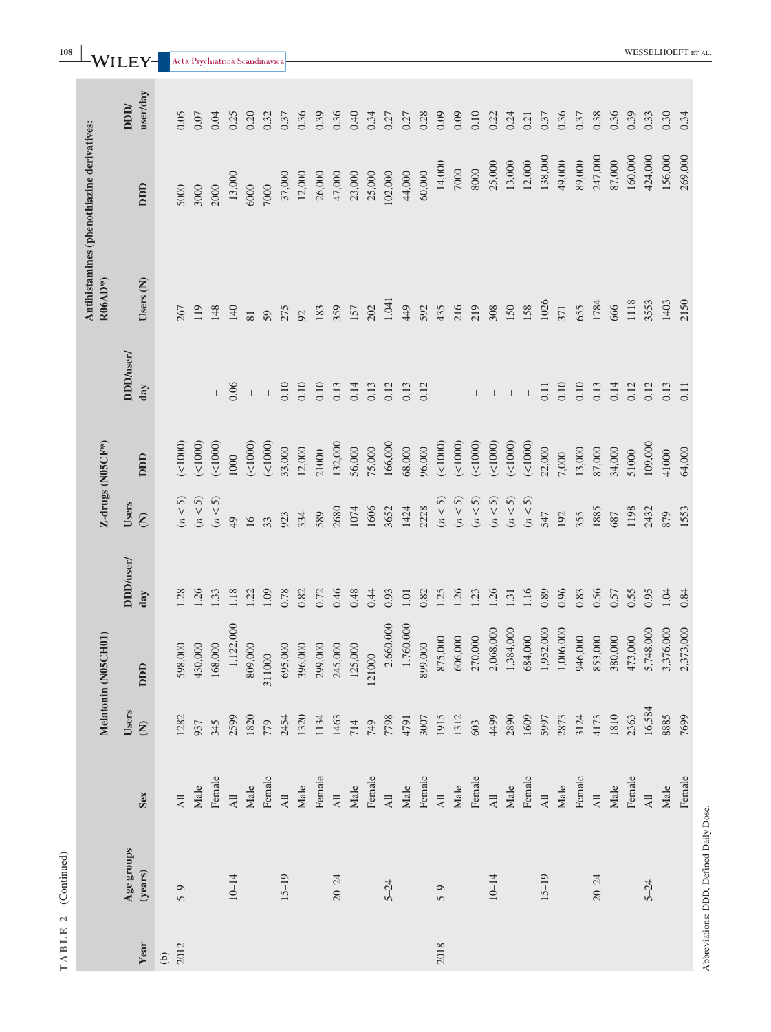| TABLE 2  | (Continued)                             |                          |                               |                     |                  |                                 |            |                  |                                                       |         |                        |
|----------|-----------------------------------------|--------------------------|-------------------------------|---------------------|------------------|---------------------------------|------------|------------------|-------------------------------------------------------|---------|------------------------|
|          |                                         |                          |                               | Melatonin (N05CH01) |                  | Z-drugs (N05CF*)                |            |                  | Antihistamines (phenothiazine derivatives:<br>R06AD*) |         |                        |
| Year     | Age groups<br>(years)                   | Sex                      | Users<br>$\widehat{\epsilon}$ | DDD                 | DDD/user/<br>day | Users<br>$\widehat{\mathbf{z}}$ | DDD        | DDD/user/<br>day | Users (N)                                             | DDD     | user/day<br><b>NDD</b> |
| $\Theta$ |                                         |                          |                               |                     |                  |                                 |            |                  |                                                       |         |                        |
| 2012     | $5 - 9$                                 | $\overline{AB}$          | 1282                          | 598,000             | 1.28             | (n < 5)                         | $($ <1000) |                  | 267                                                   | 5000    | 0.05                   |
|          |                                         | Male                     | 937                           | 430,000             | 1.26             | (n < 5)                         | ( < 1000)  |                  | 119                                                   | 3000    | 0.07                   |
|          |                                         | Female                   | 345                           | 168,000             | 1.33             | (n < 5)                         | (1000)     |                  | 148                                                   | 2000    | 0.04                   |
|          | $10 - 14$                               | $\overline{AB}$          | 2599                          | 1,122,000           | 1.18             | 49                              | 1000       | 0.06             | 140                                                   | 13,000  | 0.25                   |
|          |                                         | Male                     | 1820                          | 809,000             | 1.22             | 16                              | (1000)     | $\bar{\bar{1}}$  | 81                                                    | 6000    | 0.20                   |
|          |                                         | Female                   | 779                           | 311000              | 1.09             | 33                              | (1000)     | $\overline{1}$   | 59                                                    | 7000    | 0.32                   |
|          | $15 - 19$                               | $\overline{AB}$          | 2454                          | 695,000             | 0.78             | 923                             | 33,000     | 0.10             | 275                                                   | 37,000  | 0.37                   |
|          |                                         | $\rm {Male}$             | 1320                          | 396,000             | 0.82             | 334                             | 12,000     | 0.10             | 92                                                    | 12,000  | 0.36                   |
|          |                                         | Female                   | 1134                          | 299,000             | 0.72             | 589                             | 21000      | 0.10             | 183                                                   | 26,000  | 0.39                   |
|          | $20 - 24$                               | $\overline{AB}$          | 1463                          | 245,000             | 0.46             | 2680                            | 132,000    | 0.13             | 359                                                   | 47,000  | 0.36                   |
|          |                                         | Male                     | 714                           | 125,000             | 0.48             | 1074                            | 56,000     | 0.14             | 157                                                   | 23,000  | 0.40                   |
|          |                                         | Female                   | 749                           | 121000              | 0.44             | 1606                            | 75,000     | 0.13             | 202                                                   | 25,000  | 0.34                   |
|          | $5 - 24$                                | $\overline{A}$           | 7798                          | 2,660,000           | 0.93             | 3652                            | 166,000    | 0.12             | 1,041                                                 | 102,000 | 0.27                   |
|          |                                         | $\rm {Male}$             | 4791                          | 1,760,000           | $1.01\,$         | 1424                            | 68,000     | 0.13             | 449                                                   | 44,000  | 0.27                   |
|          |                                         | Female                   | 3007                          | 899,000             | 0.82             | 2228                            | 96,000     | 0.12             | 592                                                   | 60,000  | 0.28                   |
| 2018     | $5 - 9$                                 | $\overline{AB}$          | 1915                          | 875,000             | 1.25             | (n < 5)                         | (21000)    |                  | 435                                                   | 14,000  | 0.09                   |
|          |                                         | $\rm {Male}$             | 1312                          | 606,000             | 1.26             | (n < 5)                         | $($ <1000) |                  | 216                                                   | 7000    | 0.09                   |
|          |                                         | Female                   | 603                           | 270,000             | 1.23             | (n < 5)                         | (21000)    |                  | 219                                                   | 8000    | 0.10                   |
|          | $10 - 14$                               | $\overline{AB}$          | 4499                          | 2,068,000           | 1.26             | $(n < 5)$                       | (1000)     |                  | 308                                                   | 25,000  | 0.22                   |
|          |                                         | $\rm {Male}$             | 2890                          | 1,384,000           | 1.31             | (n < 5)                         | (1000)     |                  | 150                                                   | 13,000  | 0.24                   |
|          |                                         | Female                   | 1609                          | 684,000             | 1.16             | (n < 5)                         | (1000)     |                  | 158                                                   | 12,000  | 0.21                   |
|          | $15 - 19$                               | All                      | 5997                          | 1,952,000           | 0.89             | 547                             | 22,000     | 0.11             | 1026                                                  | 138,000 | 0.37                   |
|          |                                         | $\rm {Male}$             | 2873                          | 1,006,000           | 0.96             | 192                             | 7,000      | 0.10             | 371                                                   | 49,000  | 0.36                   |
|          |                                         | Female                   | 3124                          | 946,000             | 0.83             | 355                             | 13,000     | 0.10             | 655                                                   | 89,000  | 0.37                   |
|          | $20 - 24$                               | $\overline{\mathrm{Al}}$ | 4173                          | 853,000             | 0.56             | 1885                            | 87,000     | 0.13             | 1784                                                  | 247,000 | 0.38                   |
|          |                                         | $\rm {Male}$             | 1810                          | 380,000             | 0.57             | 687                             | 34,000     | 0.14             | 666                                                   | 87,000  | 0.36                   |
|          |                                         | Female                   | 2363                          | 473,000             | 0.55             | 1198                            | 51000      | 0.12             | 1118                                                  | 160,000 | 0.39                   |
|          | $5 - 24$                                | $\overline{AB}$          | 16,584                        | 5,748,000           | 0.95             | 2432                            | 109,000    | 0.12             | 3553                                                  | 424,000 | 0.33                   |
|          |                                         | Male                     | 8885                          | 3,376,000           | 1.04             | 879                             | 41000      | 0.13             | 1403                                                  | 156,000 | 0.30                   |
|          |                                         | Female                   | 7699                          | 2,373,000           | 0.84             | 1553                            | 64,000     | 0.11             | 2150                                                  | 269,000 | 0.34                   |
|          | Abbreviations: DDD, Defined Daily Dose. |                          |                               |                     |                  |                                 |            |                  |                                                       |         |                        |

**108**  $\blacksquare$  **WESSELHOEFT** WESSELHOEFT

a l .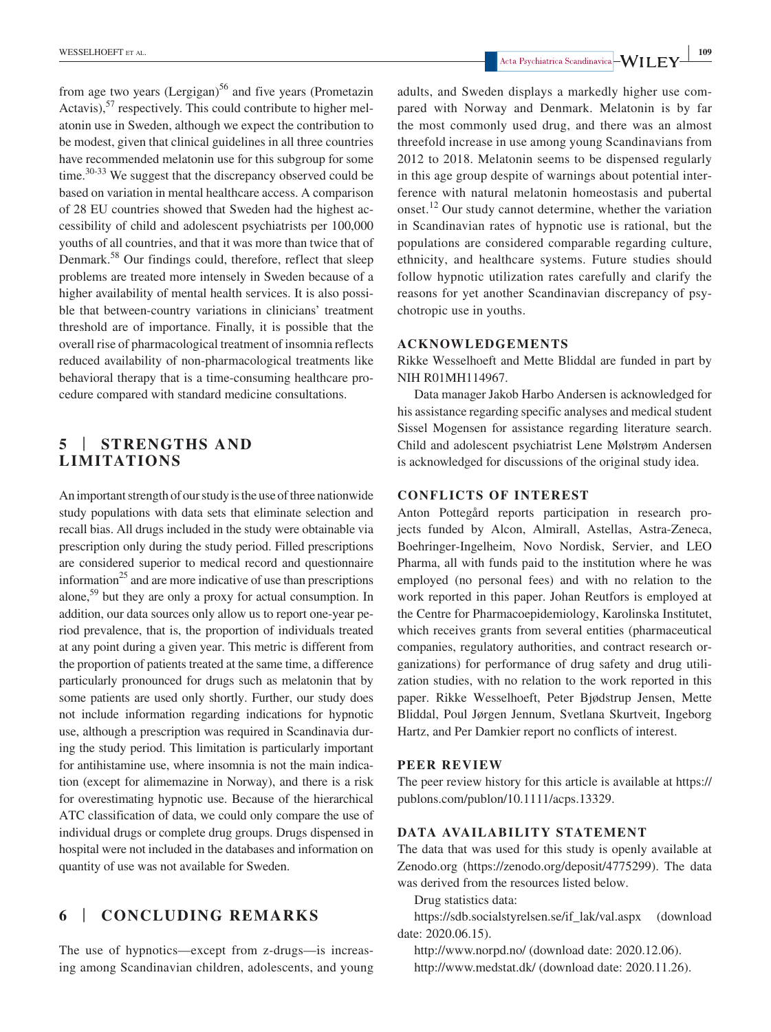from age two years (Lergigan)<sup>56</sup> and five years (Prometazin Actavis), $57$  respectively. This could contribute to higher melatonin use in Sweden, although we expect the contribution to be modest, given that clinical guidelines in all three countries have recommended melatonin use for this subgroup for some time.<sup>30-33</sup> We suggest that the discrepancy observed could be based on variation in mental healthcare access. A comparison of 28 EU countries showed that Sweden had the highest accessibility of child and adolescent psychiatrists per 100,000 youths of all countries, and that it was more than twice that of Denmark.<sup>58</sup> Our findings could, therefore, reflect that sleep problems are treated more intensely in Sweden because of a higher availability of mental health services. It is also possible that between-country variations in clinicians' treatment threshold are of importance. Finally, it is possible that the overall rise of pharmacological treatment of insomnia reflects reduced availability of non-pharmacological treatments like behavioral therapy that is a time-consuming healthcare procedure compared with standard medicine consultations.

# **5** | **STRENGTHS AND LIMITATIONS**

An important strength of our study is the use of three nationwide study populations with data sets that eliminate selection and recall bias. All drugs included in the study were obtainable via prescription only during the study period. Filled prescriptions are considered superior to medical record and questionnaire information $^{25}$  and are more indicative of use than prescriptions alone,<sup>59</sup> but they are only a proxy for actual consumption. In addition, our data sources only allow us to report one-year period prevalence, that is, the proportion of individuals treated at any point during a given year. This metric is different from the proportion of patients treated at the same time, a difference particularly pronounced for drugs such as melatonin that by some patients are used only shortly. Further, our study does not include information regarding indications for hypnotic use, although a prescription was required in Scandinavia during the study period. This limitation is particularly important for antihistamine use, where insomnia is not the main indication (except for alimemazine in Norway), and there is a risk for overestimating hypnotic use. Because of the hierarchical ATC classification of data, we could only compare the use of individual drugs or complete drug groups. Drugs dispensed in hospital were not included in the databases and information on quantity of use was not available for Sweden.

# **6** | **CONCLUDING REMARKS**

The use of hypnotics—except from z-drugs—is increasing among Scandinavian children, adolescents, and young

adults, and Sweden displays a markedly higher use compared with Norway and Denmark. Melatonin is by far the most commonly used drug, and there was an almost threefold increase in use among young Scandinavians from 2012 to 2018. Melatonin seems to be dispensed regularly in this age group despite of warnings about potential interference with natural melatonin homeostasis and pubertal onset.12 Our study cannot determine, whether the variation in Scandinavian rates of hypnotic use is rational, but the populations are considered comparable regarding culture, ethnicity, and healthcare systems. Future studies should follow hypnotic utilization rates carefully and clarify the reasons for yet another Scandinavian discrepancy of psychotropic use in youths.

#### **ACKNOWLEDGEMENTS**

Rikke Wesselhoeft and Mette Bliddal are funded in part by NIH R01MH114967.

Data manager Jakob Harbo Andersen is acknowledged for his assistance regarding specific analyses and medical student Sissel Mogensen for assistance regarding literature search. Child and adolescent psychiatrist Lene Mølstrøm Andersen is acknowledged for discussions of the original study idea.

# **CONFLICTS OF INTEREST**

Anton Pottegård reports participation in research projects funded by Alcon, Almirall, Astellas, Astra-Zeneca, Boehringer-Ingelheim, Novo Nordisk, Servier, and LEO Pharma, all with funds paid to the institution where he was employed (no personal fees) and with no relation to the work reported in this paper. Johan Reutfors is employed at the Centre for Pharmacoepidemiology, Karolinska Institutet, which receives grants from several entities (pharmaceutical companies, regulatory authorities, and contract research organizations) for performance of drug safety and drug utilization studies, with no relation to the work reported in this paper. Rikke Wesselhoeft, Peter Bjødstrup Jensen, Mette Bliddal, Poul Jørgen Jennum, Svetlana Skurtveit, Ingeborg Hartz, and Per Damkier report no conflicts of interest.

#### **PEER REVIEW**

The peer review history for this article is available at [https://](https://publons.com/publon/10.1111/acps.13329) [publons.com/publon/10.1111/acps.13329](https://publons.com/publon/10.1111/acps.13329).

### **DATA AVAILABILITY STATEMENT**

The data that was used for this study is openly available at Zenodo.org ([https://zenodo.org/deposit/4775299\)](https://zenodo.org/deposit/4775299). The data was derived from the resources listed below.

Drug statistics data:

[https://sdb.socialstyrelsen.se/if\\_lak/val.aspx](https://sdb.socialstyrelsen.se/if_lak/val.aspx) (download date: 2020.06.15).

<http://www.norpd.no/> (download date: 2020.12.06). <http://www.medstat.dk/>(download date: 2020.11.26).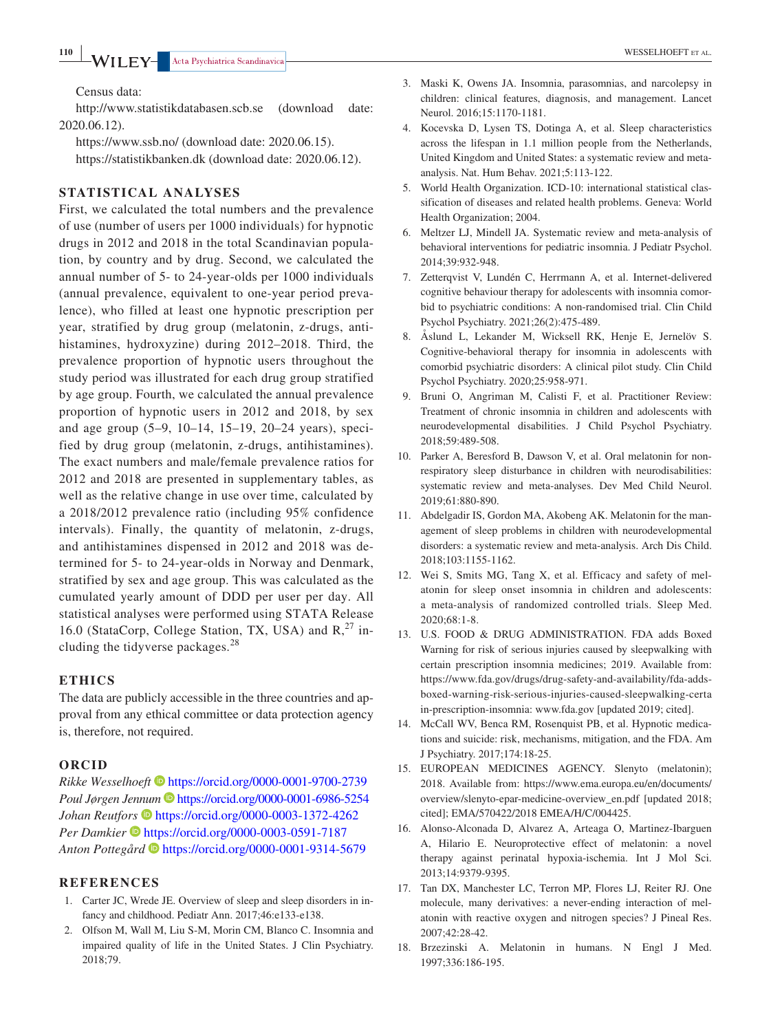Census data:

<http://www.statistikdatabasen.scb.se> (download date: 2020.06.12).

<https://www.ssb.no/>(download date: 2020.06.15). <https://statistikbanken.dk>(download date: 2020.06.12).

# **STATISTICAL ANALYSES**

First, we calculated the total numbers and the prevalence of use (number of users per 1000 individuals) for hypnotic drugs in 2012 and 2018 in the total Scandinavian population, by country and by drug. Second, we calculated the annual number of 5- to 24-year-olds per 1000 individuals (annual prevalence, equivalent to one-year period prevalence), who filled at least one hypnotic prescription per year, stratified by drug group (melatonin, z-drugs, antihistamines, hydroxyzine) during 2012–2018. Third, the prevalence proportion of hypnotic users throughout the study period was illustrated for each drug group stratified by age group. Fourth, we calculated the annual prevalence proportion of hypnotic users in 2012 and 2018, by sex and age group (5–9, 10–14, 15–19, 20–24 years), specified by drug group (melatonin, z-drugs, antihistamines). The exact numbers and male/female prevalence ratios for 2012 and 2018 are presented in supplementary tables, as well as the relative change in use over time, calculated by a 2018/2012 prevalence ratio (including 95% confidence intervals). Finally, the quantity of melatonin, z-drugs, and antihistamines dispensed in 2012 and 2018 was determined for 5- to 24-year-olds in Norway and Denmark, stratified by sex and age group. This was calculated as the cumulated yearly amount of DDD per user per day. All statistical analyses were performed using STATA Release 16.0 (StataCorp, College Station, TX, USA) and  $R$ <sup>27</sup>, including the tidyverse packages.<sup>28</sup>

#### **ETHICS**

The data are publicly accessible in the three countries and approval from any ethical committee or data protection agency is, therefore, not required.

### **ORCID**

*Rikke Wesselhoeft* <https://orcid.org/0000-0001-9700-2739> Poul Jørgen Jennum **b**<https://orcid.org/0000-0001-6986-5254> *Johan Reutfors* • <https://orcid.org/0000-0003-1372-4262> *Per Damkier* **b** <https://orcid.org/0000-0003-0591-7187> *Anton Pottegård* <https://orcid.org/0000-0001-9314-5679>

#### **REFERENCES**

- 1. Carter JC, Wrede JE. Overview of sleep and sleep disorders in infancy and childhood. Pediatr Ann. 2017;46:e133-e138.
- 2. Olfson M, Wall M, Liu S-M, Morin CM, Blanco C. Insomnia and impaired quality of life in the United States. J Clin Psychiatry. 2018;79.
- 3. Maski K, Owens JA. Insomnia, parasomnias, and narcolepsy in children: clinical features, diagnosis, and management. Lancet Neurol. 2016;15:1170-1181.
- 4. Kocevska D, Lysen TS, Dotinga A, et al. Sleep characteristics across the lifespan in 1.1 million people from the Netherlands, United Kingdom and United States: a systematic review and metaanalysis. Nat. Hum Behav. 2021;5:113-122.
- 5. World Health Organization. ICD-10: international statistical classification of diseases and related health problems. Geneva: World Health Organization; 2004.
- 6. Meltzer LJ, Mindell JA. Systematic review and meta-analysis of behavioral interventions for pediatric insomnia. J Pediatr Psychol. 2014;39:932-948.
- 7. Zetterqvist V, Lundén C, Herrmann A, et al. Internet-delivered cognitive behaviour therapy for adolescents with insomnia comorbid to psychiatric conditions: A non-randomised trial. Clin Child Psychol Psychiatry. 2021;26(2):475-489.
- 8. Åslund L, Lekander M, Wicksell RK, Henje E, Jernelöv S. Cognitive-behavioral therapy for insomnia in adolescents with comorbid psychiatric disorders: A clinical pilot study. Clin Child Psychol Psychiatry. 2020;25:958-971.
- 9. Bruni O, Angriman M, Calisti F, et al. Practitioner Review: Treatment of chronic insomnia in children and adolescents with neurodevelopmental disabilities. J Child Psychol Psychiatry. 2018;59:489-508.
- 10. Parker A, Beresford B, Dawson V, et al. Oral melatonin for nonrespiratory sleep disturbance in children with neurodisabilities: systematic review and meta-analyses. Dev Med Child Neurol. 2019;61:880-890.
- 11. Abdelgadir IS, Gordon MA, Akobeng AK. Melatonin for the management of sleep problems in children with neurodevelopmental disorders: a systematic review and meta-analysis. Arch Dis Child. 2018;103:1155-1162.
- 12. Wei S, Smits MG, Tang X, et al. Efficacy and safety of melatonin for sleep onset insomnia in children and adolescents: a meta-analysis of randomized controlled trials. Sleep Med. 2020;68:1-8.
- 13. U.S. FOOD & DRUG ADMINISTRATION. FDA adds Boxed Warning for risk of serious injuries caused by sleepwalking with certain prescription insomnia medicines; 2019. Available from: [https://www.fda.gov/drugs/drug-safety-and-availability/fda-adds](https://www.fda.gov/drugs/drug-safety-and-availability/fda-adds-boxed-warning-risk-serious-injuries-caused-sleepwalking-certain-prescription-insomnia)[boxed-warning-risk-serious-injuries-caused-sleepwalking-certa](https://www.fda.gov/drugs/drug-safety-and-availability/fda-adds-boxed-warning-risk-serious-injuries-caused-sleepwalking-certain-prescription-insomnia) [in-prescription-insomnia:](https://www.fda.gov/drugs/drug-safety-and-availability/fda-adds-boxed-warning-risk-serious-injuries-caused-sleepwalking-certain-prescription-insomnia) [www.fda.gov](http://www.fda.gov) [updated 2019; cited].
- 14. McCall WV, Benca RM, Rosenquist PB, et al. Hypnotic medications and suicide: risk, mechanisms, mitigation, and the FDA. Am J Psychiatry. 2017;174:18-25.
- 15. EUROPEAN MEDICINES AGENCY. Slenyto (melatonin); 2018. Available from: [https://www.ema.europa.eu/en/documents/](https://www.ema.europa.eu/en/documents/overview/slenyto-epar-medicine-overview_en.pdf) [overview/slenyto-epar-medicine-overview\\_en.pdf](https://www.ema.europa.eu/en/documents/overview/slenyto-epar-medicine-overview_en.pdf) [updated 2018; cited]; EMA/570422/2018 EMEA/H/C/004425.
- 16. Alonso-Alconada D, Alvarez A, Arteaga O, Martinez-Ibarguen A, Hilario E. Neuroprotective effect of melatonin: a novel therapy against perinatal hypoxia-ischemia. Int J Mol Sci. 2013;14:9379-9395.
- 17. Tan DX, Manchester LC, Terron MP, Flores LJ, Reiter RJ. One molecule, many derivatives: a never-ending interaction of melatonin with reactive oxygen and nitrogen species? J Pineal Res. 2007;42:28-42.
- 18. Brzezinski A. Melatonin in humans. N Engl J Med. 1997;336:186-195.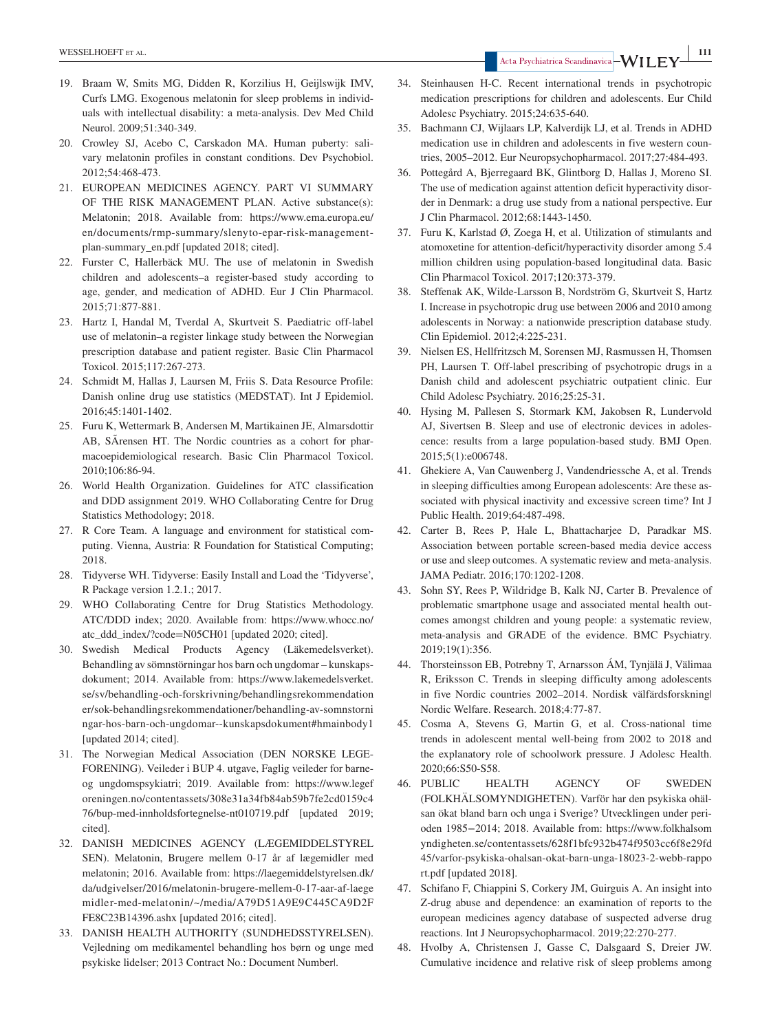- 19. Braam W, Smits MG, Didden R, Korzilius H, Geijlswijk IMV, Curfs LMG. Exogenous melatonin for sleep problems in individuals with intellectual disability: a meta-analysis. Dev Med Child Neurol. 2009;51:340-349.
- 20. Crowley SJ, Acebo C, Carskadon MA. Human puberty: salivary melatonin profiles in constant conditions. Dev Psychobiol. 2012;54:468-473.
- 21. EUROPEAN MEDICINES AGENCY. PART VI SUMMARY OF THE RISK MANAGEMENT PLAN. Active substance(s): Melatonin; 2018. Available from: [https://www.ema.europa.eu/](https://www.ema.europa.eu/en/documents/rmp-summary/slenyto-epar-risk-management-plan-summary_en.pdf) [en/documents/rmp-summary/slenyto-epar-risk-management](https://www.ema.europa.eu/en/documents/rmp-summary/slenyto-epar-risk-management-plan-summary_en.pdf)[plan-summary\\_en.pdf](https://www.ema.europa.eu/en/documents/rmp-summary/slenyto-epar-risk-management-plan-summary_en.pdf) [updated 2018; cited].
- 22. Furster C, Hallerbäck MU. The use of melatonin in Swedish children and adolescents–a register-based study according to age, gender, and medication of ADHD. Eur J Clin Pharmacol. 2015;71:877-881.
- 23. Hartz I, Handal M, Tverdal A, Skurtveit S. Paediatric off-label use of melatonin–a register linkage study between the Norwegian prescription database and patient register. Basic Clin Pharmacol Toxicol. 2015;117:267-273.
- 24. Schmidt M, Hallas J, Laursen M, Friis S. Data Resource Profile: Danish online drug use statistics (MEDSTAT). Int J Epidemiol. 2016;45:1401-1402.
- 25. Furu K, Wettermark B, Andersen M, Martikainen JE, Almarsdottir AB, SÃrensen HT. The Nordic countries as a cohort for pharmacoepidemiological research. Basic Clin Pharmacol Toxicol. 2010;106:86-94.
- 26. World Health Organization. Guidelines for ATC classification and DDD assignment 2019. WHO Collaborating Centre for Drug Statistics Methodology; 2018.
- 27. R Core Team. A language and environment for statistical computing. Vienna, Austria: R Foundation for Statistical Computing; 2018.
- 28. Tidyverse WH. Tidyverse: Easily Install and Load the 'Tidyverse', R Package version 1.2.1.; 2017.
- 29. WHO Collaborating Centre for Drug Statistics Methodology. ATC/DDD index; 2020. Available from: [https://www.whocc.no/](https://www.whocc.no/atc_ddd_index/?code=N05CH01) [atc\\_ddd\\_index/?code=N05CH01](https://www.whocc.no/atc_ddd_index/?code=N05CH01) [updated 2020; cited].
- 30. Swedish Medical Products Agency (Läkemedelsverket). Behandling av sömnstörningar hos barn och ungdomar – kunskapsdokument; 2014. Available from: [https://www.lakemedelsverket.](https://www.lakemedelsverket.se/sv/behandling-och-forskrivning/behandlingsrekommendationer/sok-behandlingsrekommendationer/behandling-av-somnstorningar-hos-barn-och-ungdomar--kunskapsdokument#hmainbody1) [se/sv/behandling-och-forskrivning/behandlingsrekommendation](https://www.lakemedelsverket.se/sv/behandling-och-forskrivning/behandlingsrekommendationer/sok-behandlingsrekommendationer/behandling-av-somnstorningar-hos-barn-och-ungdomar--kunskapsdokument#hmainbody1) [er/sok-behandlingsrekommendationer/behandling-av-somnstorni](https://www.lakemedelsverket.se/sv/behandling-och-forskrivning/behandlingsrekommendationer/sok-behandlingsrekommendationer/behandling-av-somnstorningar-hos-barn-och-ungdomar--kunskapsdokument#hmainbody1) [ngar-hos-barn-och-ungdomar--kunskapsdokument#hmainbody1](https://www.lakemedelsverket.se/sv/behandling-och-forskrivning/behandlingsrekommendationer/sok-behandlingsrekommendationer/behandling-av-somnstorningar-hos-barn-och-ungdomar--kunskapsdokument#hmainbody1) [updated 2014; cited].
- 31. The Norwegian Medical Association (DEN NORSKE LEGE-FORENING). Veileder i BUP 4. utgave, Faglig veileder for barneog ungdomspsykiatri; 2019. Available from: [https://www.legef](https://www.legeforeningen.no/contentassets/308e31a34fb84ab59b7fe2cd0159c476/bup-med-innholdsfortegnelse-nt010719.pdf) [oreningen.no/contentassets/308e31a34fb84ab59b7fe2cd0159c4](https://www.legeforeningen.no/contentassets/308e31a34fb84ab59b7fe2cd0159c476/bup-med-innholdsfortegnelse-nt010719.pdf) [76/bup-med-innholdsfortegnelse-nt010719.pdf](https://www.legeforeningen.no/contentassets/308e31a34fb84ab59b7fe2cd0159c476/bup-med-innholdsfortegnelse-nt010719.pdf) [updated 2019; cited].
- 32. DANISH MEDICINES AGENCY (LÆGEMIDDELSTYREL SEN). Melatonin, Brugere mellem 0-17 år af lægemidler med melatonin; 2016. Available from: [https://laegemiddelstyrelsen.dk/](https://laegemiddelstyrelsen.dk/da/udgivelser/2016/melatonin-brugere-mellem-0-17-aar-af-laegemidler-med-melatonin/%7E/media/A79D51A9E9C445CA9D2FFE8C23B14396.ashx) [da/udgivelser/2016/melatonin-brugere-mellem-0-17-aar-af-laege](https://laegemiddelstyrelsen.dk/da/udgivelser/2016/melatonin-brugere-mellem-0-17-aar-af-laegemidler-med-melatonin/%7E/media/A79D51A9E9C445CA9D2FFE8C23B14396.ashx) [midler-med-melatonin/~/media/A79D51A9E9C445CA9D2F](https://laegemiddelstyrelsen.dk/da/udgivelser/2016/melatonin-brugere-mellem-0-17-aar-af-laegemidler-med-melatonin/%7E/media/A79D51A9E9C445CA9D2FFE8C23B14396.ashx) [FE8C23B14396.ashx](https://laegemiddelstyrelsen.dk/da/udgivelser/2016/melatonin-brugere-mellem-0-17-aar-af-laegemidler-med-melatonin/%7E/media/A79D51A9E9C445CA9D2FFE8C23B14396.ashx) [updated 2016; cited].
- 33. DANISH HEALTH AUTHORITY (SUNDHEDSSTYRELSEN). Vejledning om medikamentel behandling hos børn og unge med psykiske lidelser; 2013 Contract No.: Document Number|.
- 34. Steinhausen H-C. Recent international trends in psychotropic medication prescriptions for children and adolescents. Eur Child Adolesc Psychiatry. 2015;24:635-640.
- 35. Bachmann CJ, Wijlaars LP, Kalverdijk LJ, et al. Trends in ADHD medication use in children and adolescents in five western countries, 2005–2012. Eur Neuropsychopharmacol. 2017;27:484-493.
- 36. Pottegård A, Bjerregaard BK, Glintborg D, Hallas J, Moreno SI. The use of medication against attention deficit hyperactivity disorder in Denmark: a drug use study from a national perspective. Eur J Clin Pharmacol. 2012;68:1443-1450.
- 37. Furu K, Karlstad Ø, Zoega H, et al. Utilization of stimulants and atomoxetine for attention-deficit/hyperactivity disorder among 5.4 million children using population-based longitudinal data. Basic Clin Pharmacol Toxicol. 2017;120:373-379.
- 38. Steffenak AK, Wilde-Larsson B, Nordström G, Skurtveit S, Hartz I. Increase in psychotropic drug use between 2006 and 2010 among adolescents in Norway: a nationwide prescription database study. Clin Epidemiol. 2012;4:225-231.
- 39. Nielsen ES, Hellfritzsch M, Sorensen MJ, Rasmussen H, Thomsen PH, Laursen T. Off-label prescribing of psychotropic drugs in a Danish child and adolescent psychiatric outpatient clinic. Eur Child Adolesc Psychiatry. 2016;25:25-31.
- 40. Hysing M, Pallesen S, Stormark KM, Jakobsen R, Lundervold AJ, Sivertsen B. Sleep and use of electronic devices in adolescence: results from a large population-based study. BMJ Open. 2015;5(1):e006748.
- 41. Ghekiere A, Van Cauwenberg J, Vandendriessche A, et al. Trends in sleeping difficulties among European adolescents: Are these associated with physical inactivity and excessive screen time? Int J Public Health. 2019;64:487-498.
- 42. Carter B, Rees P, Hale L, Bhattacharjee D, Paradkar MS. Association between portable screen-based media device access or use and sleep outcomes. A systematic review and meta-analysis. JAMA Pediatr. 2016;170:1202-1208.
- 43. Sohn SY, Rees P, Wildridge B, Kalk NJ, Carter B. Prevalence of problematic smartphone usage and associated mental health outcomes amongst children and young people: a systematic review, meta-analysis and GRADE of the evidence. BMC Psychiatry. 2019;19(1):356.
- 44. Thorsteinsson EB, Potrebny T, Arnarsson ÁM, Tynjälä J, Välimaa R, Eriksson C. Trends in sleeping difficulty among adolescents in five Nordic countries 2002–2014. Nordisk välfärdsforskning| Nordic Welfare. Research. 2018;4:77-87.
- 45. Cosma A, Stevens G, Martin G, et al. Cross-national time trends in adolescent mental well-being from 2002 to 2018 and the explanatory role of schoolwork pressure. J Adolesc Health. 2020;66:S50-S58.
- 46. PUBLIC HEALTH AGENCY OF SWEDEN (FOLKHÄLSOMYNDIGHETEN). Varför har den psykiska ohälsan ökat bland barn och unga i Sverige? Utvecklingen under perioden 1985−2014; 2018. Available from: [https://www.folkhalsom](https://www.folkhalsomyndigheten.se/contentassets/628f1bfc932b474f9503cc6f8e29fd45/varfor-psykiska-ohalsan-okat-barn-unga-18023-2-webb-rapport.pdf) [yndigheten.se/contentassets/628f1bfc932b474f9503cc6f8e29fd](https://www.folkhalsomyndigheten.se/contentassets/628f1bfc932b474f9503cc6f8e29fd45/varfor-psykiska-ohalsan-okat-barn-unga-18023-2-webb-rapport.pdf) [45/varfor-psykiska-ohalsan-okat-barn-unga-18023-2-webb-rappo](https://www.folkhalsomyndigheten.se/contentassets/628f1bfc932b474f9503cc6f8e29fd45/varfor-psykiska-ohalsan-okat-barn-unga-18023-2-webb-rapport.pdf) [rt.pdf](https://www.folkhalsomyndigheten.se/contentassets/628f1bfc932b474f9503cc6f8e29fd45/varfor-psykiska-ohalsan-okat-barn-unga-18023-2-webb-rapport.pdf) [updated 2018].
- 47. Schifano F, Chiappini S, Corkery JM, Guirguis A. An insight into Z-drug abuse and dependence: an examination of reports to the european medicines agency database of suspected adverse drug reactions. Int J Neuropsychopharmacol. 2019;22:270-277.
- 48. Hvolby A, Christensen J, Gasse C, Dalsgaard S, Dreier JW. Cumulative incidence and relative risk of sleep problems among